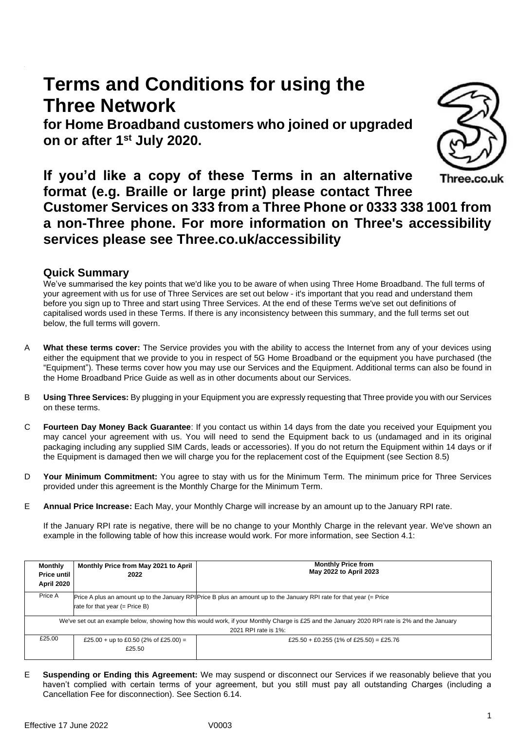# **Terms and Conditions for using the Three Network**

**for Home Broadband customers who joined or upgraded on or after 1 st July 2020.**



**If you'd like a copy of these Terms in an alternative**  Three.co.uk **format (e.g. Braille or large print) please contact Three Customer Services on 333 from a Three Phone or 0333 338 1001 from a non-Three phone. For more information on Three's accessibility services please see Three.co.uk/accessibility**

# **Quick Summary**

We've summarised the key points that we'd like you to be aware of when using Three Home Broadband. The full terms of your agreement with us for use of Three Services are set out below - it's important that you read and understand them before you sign up to Three and start using Three Services. At the end of these Terms we've set out definitions of capitalised words used in these Terms. If there is any inconsistency between this summary, and the full terms set out below, the full terms will govern.

- A **What these terms cover:** The Service provides you with the ability to access the Internet from any of your devices using either the equipment that we provide to you in respect of 5G Home Broadband or the equipment you have purchased (the "Equipment"). These terms cover how you may use our Services and the Equipment. Additional terms can also be found in the Home Broadband Price Guide as well as in other documents about our Services.
- B **Using Three Services:** By plugging in your Equipment you are expressly requesting that Three provide you with our Services on these terms.
- C **Fourteen Day Money Back Guarantee**: If you contact us within 14 days from the date you received your Equipment you may cancel your agreement with us. You will need to send the Equipment back to us (undamaged and in its original packaging including any supplied SIM Cards, leads or accessories). If you do not return the Equipment within 14 days or if the Equipment is damaged then we will charge you for the replacement cost of the Equipment (see Sectio[n 8.5\)](#page-5-0)
- D **Your Minimum Commitment:** You agree to stay with us for the Minimum Term. The minimum price for Three Services provided under this agreement is the Monthly Charge for the Minimum Term.
- E **Annual Price Increase:** Each May, your Monthly Charge will increase by an amount up to the January RPI rate.

If the January RPI rate is negative, there will be no change to your Monthly Charge in the relevant year. We've shown an example in the following table of how this increase would work. For more information, see Section 4.1:

| <b>Monthly</b><br>Price until<br>April 2020                                                                                                                            | Monthly Price from May 2021 to April<br>2022    | <b>Monthly Price from</b><br>May 2022 to April 2023                                                                   |  |  |
|------------------------------------------------------------------------------------------------------------------------------------------------------------------------|-------------------------------------------------|-----------------------------------------------------------------------------------------------------------------------|--|--|
| Price A                                                                                                                                                                | rate for that year $(=$ Price B)                | Price A plus an amount up to the January RPI Price B plus an amount up to the January RPI rate for that year (= Price |  |  |
| We've set out an example below, showing how this would work, if your Monthly Charge is £25 and the January 2020 RPI rate is 2% and the January<br>2021 RPI rate is 1%: |                                                 |                                                                                                                       |  |  |
| £25.00                                                                                                                                                                 | £25.00 + up to £0.50 (2% of £25.00) =<br>£25.50 | £25.50 + £0.255 (1% of £25.50) = £25.76                                                                               |  |  |

E **Suspending or Ending this Agreement:** We may suspend or disconnect our Services if we reasonably believe that you haven't complied with certain terms of your agreement, but you still must pay all outstanding Charges (including a Cancellation Fee for disconnection). See Section [6.14.](#page-5-1)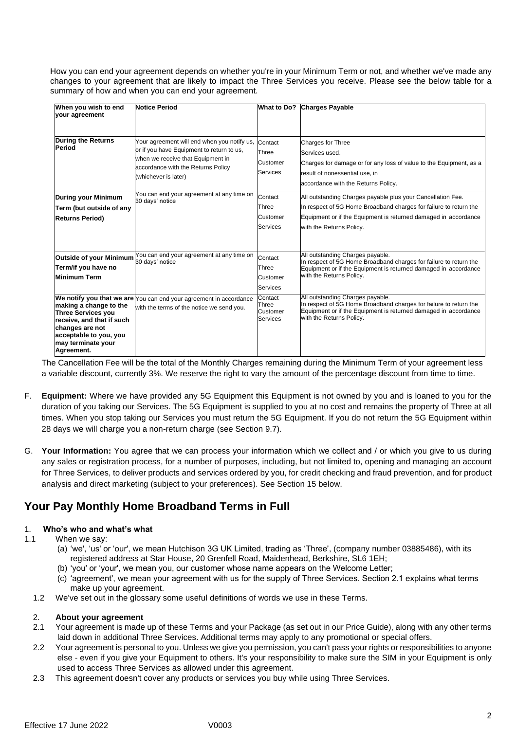How you can end your agreement depends on whether you're in your Minimum Term or not, and whether we've made any changes to your agreement that are likely to impact the Three Services you receive. Please see the below table for a summary of how and when you can end your agreement.

| When you wish to end<br>your agreement                                                                                                                     | <b>Notice Period</b>                                                                                                                                                                        | <b>What to Do?</b>                              | <b>Charges Payable</b>                                                                                                                                                                                                          |
|------------------------------------------------------------------------------------------------------------------------------------------------------------|---------------------------------------------------------------------------------------------------------------------------------------------------------------------------------------------|-------------------------------------------------|---------------------------------------------------------------------------------------------------------------------------------------------------------------------------------------------------------------------------------|
| <b>During the Returns</b><br>Period                                                                                                                        | Your agreement will end when you notify us,<br>or if you have Equipment to return to us,<br>when we receive that Equipment in<br>accordance with the Returns Policy<br>(whichever is later) | Contact<br>Three<br>Customer<br><b>Services</b> | <b>Charges for Three</b><br>Services used.<br>Charges for damage or for any loss of value to the Equipment, as a<br>result of nonessential use, in<br>accordance with the Returns Policy.                                       |
| <b>During your Minimum</b><br>Term (but outside of any<br><b>Returns Period)</b>                                                                           | You can end your agreement at any time on<br>30 days' notice                                                                                                                                | Contact<br>Three<br>Customer<br><b>Services</b> | All outstanding Charges payable plus your Cancellation Fee.<br>In respect of 5G Home Broadband charges for failure to return the<br>Equipment or if the Equipment is returned damaged in accordance<br>with the Returns Policy. |
| <b>Outside of your Minimum</b><br>Term/if you have no<br><b>Minimum Term</b>                                                                               | You can end your agreement at any time on<br>30 days' notice                                                                                                                                | Contact<br>Three<br>Customer<br><b>Services</b> | All outstanding Charges payable.<br>In respect of 5G Home Broadband charges for failure to return the<br>Equipment or if the Equipment is returned damaged in accordance<br>with the Returns Policy.                            |
| making a change to the<br>Three Services vou<br>receive, and that if such<br>changes are not<br>acceptable to you, you<br>may terminate your<br>Agreement. | We notify you that we are You can end your agreement in accordance<br>with the terms of the notice we send you.                                                                             | Contact<br>Three<br>Customer<br><b>Services</b> | All outstanding Charges payable.<br>In respect of 5G Home Broadband charges for failure to return the<br>Equipment or if the Equipment is returned damaged in accordance<br>with the Returns Policy.                            |

The Cancellation Fee will be the total of the Monthly Charges remaining during the Minimum Term of your agreement less a variable discount, currently 3%. We reserve the right to vary the amount of the percentage discount from time to time.

- F. **Equipment:** Where we have provided any 5G Equipment this Equipment is not owned by you and is loaned to you for the duration of you taking our Services. The 5G Equipment is supplied to you at no cost and remains the property of Three at all times. When you stop taking our Services you must return the 5G Equipment. If you do not return the 5G Equipment within 28 days we will charge you a non-return charge (see Section [9.7\)](#page-6-0).
- G. **Your Information:** You agree that we can process your information which we collect and / or which you give to us during any sales or registration process, for a number of purposes, including, but not limited to, opening and managing an account for Three Services, to deliver products and services ordered by you, for credit checking and fraud prevention, and for product analysis and direct marketing (subject to your preferences). See Section 15 below.

# **Your Pay Monthly Home Broadband Terms in Full**

# 1. **Who's who and what's what**

- 1.1 When we say:
	- (a) 'we', 'us' or 'our', we mean Hutchison 3G UK Limited, trading as 'Three', (company number 03885486), with its registered address at Star House, 20 Grenfell Road, Maidenhead, Berkshire, SL6 1EH;
	- (b) 'you' or 'your', we mean you, our customer whose name appears on the Welcome Letter;
	- (c) 'agreement', we mean your agreement with us for the supply of Three Services. Section 2.1 explains what terms make up your agreement.
	- 1.2 We've set out in the glossary some useful definitions of words we use in these Terms.

# 2. **About your agreement**

- 2.1 Your agreement is made up of these Terms and your Package (as set out in our Price Guide), along with any other terms laid down in additional Three Services. Additional terms may apply to any promotional or special offers.
- 2.2 Your agreement is personal to you. Unless we give you permission, you can't pass your rights or responsibilities to anyone else - even if you give your Equipment to others. It's your responsibility to make sure the SIM in your Equipment is only used to access Three Services as allowed under this agreement.
- 2.3 This agreement doesn't cover any products or services you buy while using Three Services.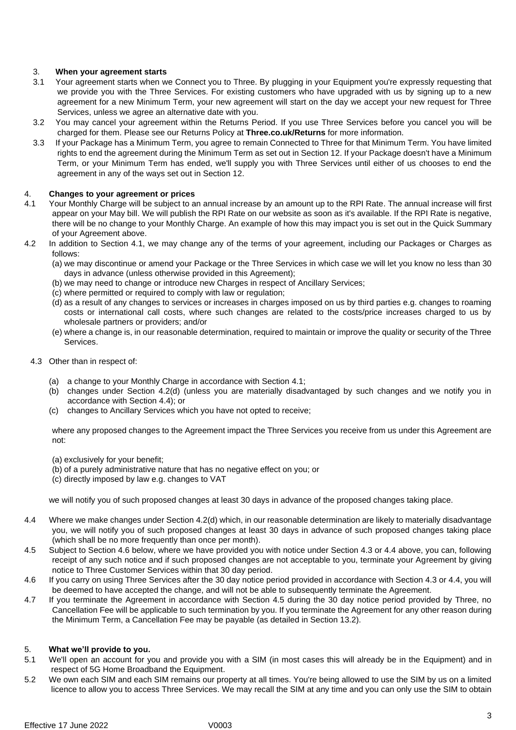# 3. **When your agreement starts**

- 3.1 Your agreement starts when we Connect you to Three. By plugging in your Equipment you're expressly requesting that we provide you with the Three Services. For existing customers who have upgraded with us by signing up to a new agreement for a new Minimum Term, your new agreement will start on the day we accept your new request for Three Services, unless we agree an alternative date with you.
- 3.2 You may cancel your agreement within the Returns Period. If you use Three Services before you cancel you will be charged for them. Please see our Returns Policy at **Three.co.uk/Returns** for more information.
- 3.3 If your Package has a Minimum Term, you agree to remain Connected to Three for that Minimum Term. You have limited rights to end the agreement during the Minimum Term as set out in Section 12. If your Package doesn't have a Minimum Term, or your Minimum Term has ended, we'll supply you with Three Services until either of us chooses to end the agreement in any of the ways set out in Section 12.

# 4. **Changes to your agreement or prices**

- 4.1 Your Monthly Charge will be subject to an annual increase by an amount up to the RPI Rate. The annual increase will first appear on your May bill. We will publish the RPI Rate on our website as soon as it's available. If the RPI Rate is negative, there will be no change to your Monthly Charge. An example of how this may impact you is set out in the Quick Summary of your Agreement above.
- 4.2 In addition to Section 4.1, we may change any of the terms of your agreement, including our Packages or Charges as follows:
	- (a) we may discontinue or amend your Package or the Three Services in which case we will let you know no less than 30 days in advance (unless otherwise provided in this Agreement);
	- (b) we may need to change or introduce new Charges in respect of Ancillary Services;
	- (c) where permitted or required to comply with law or regulation;
	- (d) as a result of any changes to services or increases in charges imposed on us by third parties e.g. changes to roaming costs or international call costs, where such changes are related to the costs/price increases charged to us by wholesale partners or providers; and/or
	- (e) where a change is, in our reasonable determination, required to maintain or improve the quality or security of the Three Services.
	- 4.3 Other than in respect of:
		- (a) a change to your Monthly Charge in accordance with Section 4.1;
		- (b) changes under Section 4.2(d) (unless you are materially disadvantaged by such changes and we notify you in accordance with Section [4.4\)](#page-2-0); or
		- (c) changes to Ancillary Services which you have not opted to receive;

where any proposed changes to the Agreement impact the Three Services you receive from us under this Agreement are not:

- (a) exclusively for your benefit;
- (b) of a purely administrative nature that has no negative effect on you; or
- (c) directly imposed by law e.g. changes to VAT

we will notify you of such proposed changes at least 30 days in advance of the proposed changes taking place.

- <span id="page-2-0"></span>4.4 Where we make changes under Section 4.2(d) which, in our reasonable determination are likely to materially disadvantage you, we will notify you of such proposed changes at least 30 days in advance of such proposed changes taking place (which shall be no more frequently than once per month).
- 4.5 Subject to Section 4.6 below, where we have provided you with notice under Section 4.3 or 4.4 above, you can, following receipt of any such notice and if such proposed changes are not acceptable to you, terminate your Agreement by giving notice to Three Customer Services within that 30 day period.
- 4.6 If you carry on using Three Services after the 30 day notice period provided in accordance with Section 4.3 or 4.4, you will be deemed to have accepted the change, and will not be able to subsequently terminate the Agreement.
- 4.7 If you terminate the Agreement in accordance with Section 4.5 during the 30 day notice period provided by Three, no Cancellation Fee will be applicable to such termination by you. If you terminate the Agreement for any other reason during the Minimum Term, a Cancellation Fee may be payable (as detailed in Section 13.2).

# 5. **What we'll provide to you.**

- 5.1 We'll open an account for you and provide you with a SIM (in most cases this will already be in the Equipment) and in respect of 5G Home Broadband the Equipment.
- 5.2 We own each SIM and each SIM remains our property at all times. You're being allowed to use the SIM by us on a limited licence to allow you to access Three Services. We may recall the SIM at any time and you can only use the SIM to obtain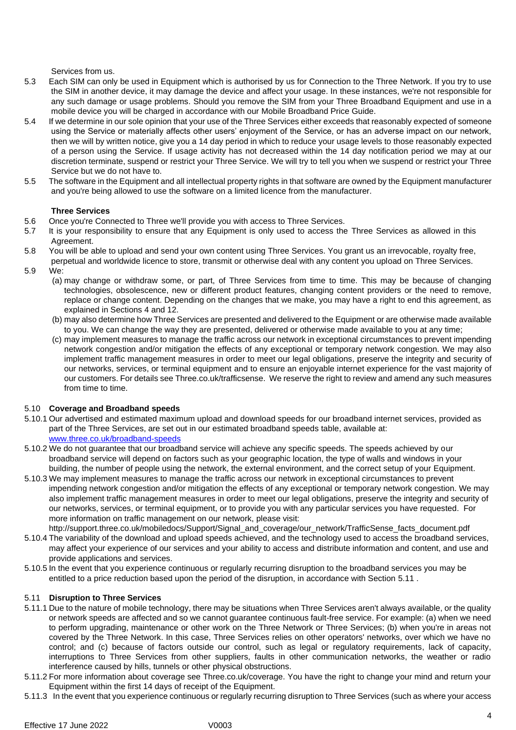Services from us.

- 5.3 Each SIM can only be used in Equipment which is authorised by us for Connection to the Three Network. If you try to use the SIM in another device, it may damage the device and affect your usage. In these instances, we're not responsible for any such damage or usage problems. Should you remove the SIM from your Three Broadband Equipment and use in a mobile device you will be charged in accordance with our Mobile Broadband Price Guide.
- 5.4 If we determine in our sole opinion that your use of the Three Services either exceeds that reasonably expected of someone using the Service or materially affects other users' enjoyment of the Service, or has an adverse impact on our network, then we will by written notice, give you a 14 day period in which to reduce your usage levels to those reasonably expected of a person using the Service. If usage activity has not decreased within the 14 day notification period we may at our discretion terminate, suspend or restrict your Three Service. We will try to tell you when we suspend or restrict your Three Service but we do not have to.
- 5.5 The software in the Equipment and all intellectual property rights in that software are owned by the Equipment manufacturer and you're being allowed to use the software on a limited licence from the manufacturer.

# **Three Services**

- 5.6 Once you're Connected to Three we'll provide you with access to Three Services.
- 5.7 It is your responsibility to ensure that any Equipment is only used to access the Three Services as allowed in this Agreement.
- 5.8 You will be able to upload and send your own content using Three Services. You grant us an irrevocable, royalty free,
	- perpetual and worldwide licence to store, transmit or otherwise deal with any content you upload on Three Services.
- 5.9 We:
	- (a) may change or withdraw some, or part, of Three Services from time to time. This may be because of changing technologies, obsolescence, new or different product features, changing content providers or the need to remove, replace or change content. Depending on the changes that we make, you may have a right to end this agreement, as explained in Sections 4 and 12.
	- (b) may also determine how Three Services are presented and delivered to the Equipment or are otherwise made available to you. We can change the way they are presented, delivered or otherwise made available to you at any time;
	- (c) may implement measures to manage the traffic across our network in exceptional circumstances to prevent impending network congestion and/or mitigation the effects of any exceptional or temporary network congestion. We may also implement traffic management measures in order to meet our legal obligations, preserve the integrity and security of our networks, services, or terminal equipment and to ensure an enjoyable internet experience for the vast majority of our customers. For details see Three.co.uk/trafficsense. We reserve the right to review and amend any such measures from time to time.

# 5.10 **Coverage and Broadband speeds**

- 5.10.1 Our advertised and estimated maximum upload and download speeds for our broadband internet services, provided as part of the Three Services, are set out in our estimated broadband speeds table, available at: [www.three.co.uk/broadband-speeds](http://www.three.co.uk/broadband-speeds)
- 5.10.2 We do not guarantee that our broadband service will achieve any specific speeds. The speeds achieved by our broadband service will depend on factors such as your geographic location, the type of walls and windows in your building, the number of people using the network, the external environment, and the correct setup of your Equipment.
- 5.10.3 We may implement measures to manage the traffic across our network in exceptional circumstances to prevent impending network congestion and/or mitigation the effects of any exceptional or temporary network congestion. We may also implement traffic management measures in order to meet our legal obligations, preserve the integrity and security of our networks, services, or terminal equipment, or to provide you with any particular services you have requested. For more information on traffic management on our network, please visit:
- http://support.three.co.uk/mobiledocs/Support/Signal\_and\_coverage/our\_network/TrafficSense\_facts\_document.pdf 5.10.4 The variability of the download and upload speeds achieved, and the technology used to access the broadband services, may affect your experience of our services and your ability to access and distribute information and content, and use and provide applications and services.
- 5.10.5 In the event that you experience continuous or regularly recurring disruption to the broadband services you may be entitled to a price reduction based upon the period of the disruption, in accordance with Section 5.11 .

# 5.11 **Disruption to Three Services**

- 5.11.1 Due to the nature of mobile technology, there may be situations when Three Services aren't always available, or the quality or network speeds are affected and so we cannot guarantee continuous fault-free service. For example: (a) when we need to perform upgrading, maintenance or other work on the Three Network or Three Services; (b) when you're in areas not covered by the Three Network. In this case, Three Services relies on other operators' networks, over which we have no control; and (c) because of factors outside our control, such as legal or regulatory requirements, lack of capacity, interruptions to Three Services from other suppliers, faults in other communication networks, the weather or radio interference caused by hills, tunnels or other physical obstructions.
- 5.11.2 For more information about coverage see Three.co.uk/coverage. You have the right to change your mind and return your Equipment within the first 14 days of receipt of the Equipment.
- 5.11.3 In the event that you experience continuous or regularly recurring disruption to Three Services (such as where your access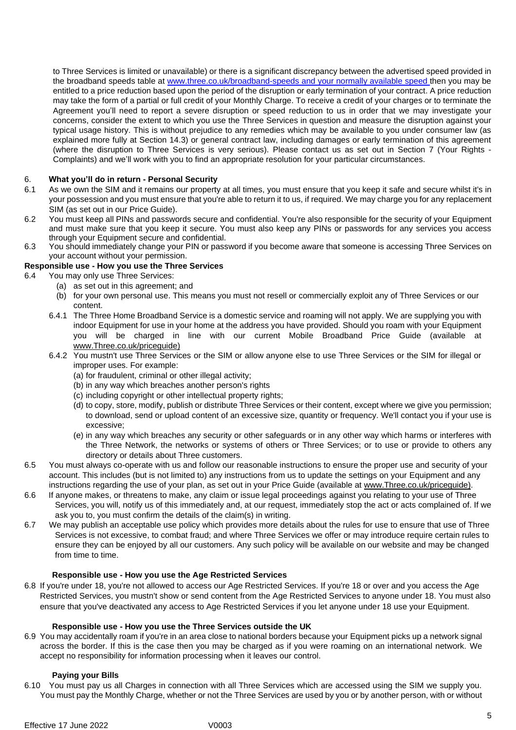to Three Services is limited or unavailable) or there is a significant discrepancy between the advertised speed provided in the broadband speeds table at [www.three.co.uk/broadband-speeds](http://www.three.co.uk/broadband-speeds) and your normally available speed then you may be entitled to a price reduction based upon the period of the disruption or early termination of your contract. A price reduction may take the form of a partial or full credit of your Monthly Charge. To receive a credit of your charges or to terminate the Agreement you'll need to report a severe disruption or speed reduction to us in order that we may investigate your concerns, consider the extent to which you use the Three Services in question and measure the disruption against your typical usage history. This is without prejudice to any remedies which may be available to you under consumer law (as explained more fully at Section 14.3) or general contract law, including damages or early termination of this agreement (where the disruption to Three Services is very serious). Please contact us as set out in Section 7 (Your Rights - Complaints) and we'll work with you to find an appropriate resolution for your particular circumstances.

# 6. **What you'll do in return - Personal Security**

- 6.1 As we own the SIM and it remains our property at all times, you must ensure that you keep it safe and secure whilst it's in your possession and you must ensure that you're able to return it to us, if required. We may charge you for any replacement SIM (as set out in our Price Guide).
- 6.2 You must keep all PINs and passwords secure and confidential. You're also responsible for the security of your Equipment and must make sure that you keep it secure. You must also keep any PINs or passwords for any services you access through your Equipment secure and confidential.
- 6.3 You should immediately change your PIN or password if you become aware that someone is accessing Three Services on your account without your permission.

# **Responsible use - How you use the Three Services**

- <span id="page-4-0"></span>6.4 You may only use Three Services:
	- (a) as set out in this agreement; and
	- (b) for your own personal use. This means you must not resell or commercially exploit any of Three Services or our content.
	- 6.4.1 The Three Home Broadband Service is a domestic service and roaming will not apply. We are supplying you with indoor Equipment for use in your home at the address you have provided. Should you roam with your Equipment you will be charged in line with our current Mobile Broadband Price Guide (available a[t](http://www.three.co.uk/priceguide) [www.Three.co.uk/priceguide\)](http://www.three.co.uk/priceguide)
	- 6.4.2 You mustn't use Three Services or the SIM or allow anyone else to use Three Services or the SIM for illegal or improper uses. For example:
		- (a) for fraudulent, criminal or other illegal activity;
		- (b) in any way which breaches another person's rights
		- (c) including copyright or other intellectual property rights;
		- (d) to copy, store, modify, publish or distribute Three Services or their content, except where we give you permission; to download, send or upload content of an excessive size, quantity or frequency. We'll contact you if your use is excessive;
		- (e) in any way which breaches any security or other safeguards or in any other way which harms or interferes with the Three Network, the networks or systems of others or Three Services; or to use or provide to others any directory or details about Three customers.
- 6.5 You must always co-operate with us and follow our reasonable instructions to ensure the proper use and security of your account. This includes (but is not limited to) any instructions from us to update the settings on your Equipment and any instructions regarding the use of your plan, as set out in your Price Guide (available at [www.Three.co.uk/priceguide\).](http://www.three.co.uk/priceguide)
- 6.6 If anyone makes, or threatens to make, any claim or issue legal proceedings against you relating to your use of Three Services, you will, notify us of this immediately and, at our request, immediately stop the act or acts complained of. If we ask you to, you must confirm the details of the claim(s) in writing.
- 6.7 We may publish an acceptable use policy which provides more details about the rules for use to ensure that use of Three Services is not excessive, to combat fraud; and where Three Services we offer or may introduce require certain rules to ensure they can be enjoyed by all our customers. Any such policy will be available on our website and may be changed from time to time.

# **Responsible use - How you use the Age Restricted Services**

6.8 If you're under 18, you're not allowed to access our Age Restricted Services. If you're 18 or over and you access the Age Restricted Services, you mustn't show or send content from the Age Restricted Services to anyone under 18. You must also ensure that you've deactivated any access to Age Restricted Services if you let anyone under 18 use your Equipment.

# **Responsible use - How you use the Three Services outside the UK**

6.9 You may accidentally roam if you're in an area close to national borders because your Equipment picks up a network signal across the border. If this is the case then you may be charged as if you were roaming on an international network. We accept no responsibility for information processing when it leaves our control.

# **Paying your Bills**

6.10 You must pay us all Charges in connection with all Three Services which are accessed using the SIM we supply you. You must pay the Monthly Charge, whether or not the Three Services are used by you or by another person, with or without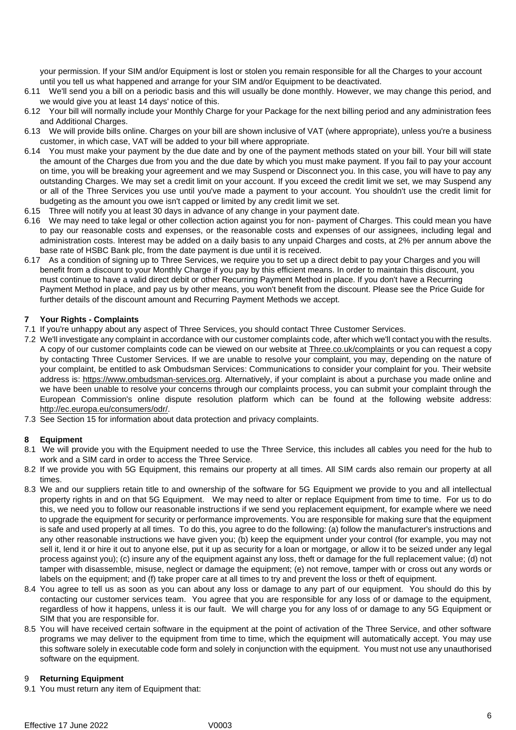your permission. If your SIM and/or Equipment is lost or stolen you remain responsible for all the Charges to your account until you tell us what happened and arrange for your SIM and/or Equipment to be deactivated.

- 6.11 We'll send you a bill on a periodic basis and this will usually be done monthly. However, we may change this period, and we would give you at least 14 days' notice of this.
- 6.12 Your bill will normally include your Monthly Charge for your Package for the next billing period and any administration fees and Additional Charges.
- 6.13 We will provide bills online. Charges on your bill are shown inclusive of VAT (where appropriate), unless you're a business customer, in which case, VAT will be added to your bill where appropriate.
- <span id="page-5-1"></span>6.14 You must make your payment by the due date and by one of the payment methods stated on your bill. Your bill will state the amount of the Charges due from you and the due date by which you must make payment. If you fail to pay your account on time, you will be breaking your agreement and we may Suspend or Disconnect you. In this case, you will have to pay any outstanding Charges. We may set a credit limit on your account. If you exceed the credit limit we set, we may Suspend any or all of the Three Services you use until you've made a payment to your account. You shouldn't use the credit limit for budgeting as the amount you owe isn't capped or limited by any credit limit we set.
- 6.15 Three will notify you at least 30 days in advance of any change in your payment date.
- 6.16 We may need to take legal or other collection action against you for non- payment of Charges. This could mean you have to pay our reasonable costs and expenses, or the reasonable costs and expenses of our assignees, including legal and administration costs. Interest may be added on a daily basis to any unpaid Charges and costs, at 2% per annum above the base rate of HSBC Bank plc, from the date payment is due until it is received.
- 6.17 As a condition of signing up to Three Services, we require you to set up a direct debit to pay your Charges and you will benefit from a discount to your Monthly Charge if you pay by this efficient means. In order to maintain this discount, you must continue to have a valid direct debit or other Recurring Payment Method in place. If you don't have a Recurring Payment Method in place, and pay us by other means, you won't benefit from the discount. Please see the Price Guide for further details of the discount amount and Recurring Payment Methods we accept.

# **7 Your Rights - Complaints**

- 7.1 If you're unhappy about any aspect of Three Services, you should contact Three Customer Services.
- 7.2 We'll investigate any complaint in accordance with our customer complaints code, after which we'll contact you with the results. A copy of our customer complaints code can be viewed on our website at **Three.co.uk/complaints** or you can request a copy by contacting Three Customer Services. If we are unable to resolve your complaint, you may, depending on the nature of your complaint, be entitled to ask Ombudsman Services: Communications to consider your complaint for you. Their website address is: https://www.ombudsma[n-services.org. Al](https://www.ombudsman-services.org/)ternatively, if your complaint is about a purchase you made online and we have been unable to resolve your concerns through our complaints process, you can submit your complaint through the European Commission's online dispute resolution platform which can be found at the following website address[:](http://ec.europa.eu/consumers/odr/) [http://ec.europa.eu/consumers/odr/.](http://ec.europa.eu/consumers/odr/)
- 7.3 See Section 15 for information about data protection and privacy complaints.

# **8 Equipment**

- 8.1 We will provide you with the Equipment needed to use the Three Service, this includes all cables you need for the hub to work and a SIM card in order to access the Three Service.
- 8.2 If we provide you with 5G Equipment, this remains our property at all times. All SIM cards also remain our property at all times.
- 8.3 We and our suppliers retain title to and ownership of the software for 5G Equipment we provide to you and all intellectual property rights in and on that 5G Equipment. We may need to alter or replace Equipment from time to time. For us to do this, we need you to follow our reasonable instructions if we send you replacement equipment, for example where we need to upgrade the equipment for security or performance improvements. You are responsible for making sure that the equipment is safe and used properly at all times. To do this, you agree to do the following: (a) follow the manufacturer's instructions and any other reasonable instructions we have given you; (b) keep the equipment under your control (for example, you may not sell it, lend it or hire it out to anyone else, put it up as security for a loan or mortgage, or allow it to be seized under any legal process against you); (c) insure any of the equipment against any loss, theft or damage for the full replacement value; (d) not tamper with disassemble, misuse, neglect or damage the equipment; (e) not remove, tamper with or cross out any words or labels on the equipment; and (f) take proper care at all times to try and prevent the loss or theft of equipment.
- 8.4 You agree to tell us as soon as you can about any loss or damage to any part of our equipment. You should do this by contacting our customer services team. You agree that you are responsible for any loss of or damage to the equipment, regardless of how it happens, unless it is our fault. We will charge you for any loss of or damage to any 5G Equipment or SIM that you are responsible for.
- 8.5 You will have received certain software in the equipment at the point of activation of the Three Service, and other software programs we may deliver to the equipment from time to time, which the equipment will automatically accept. You may use this software solely in executable code form and solely in conjunction with the equipment. You must not use any unauthorised software on the equipment.

# <span id="page-5-0"></span>9 **Returning Equipment**

9.1 You must return any item of Equipment that: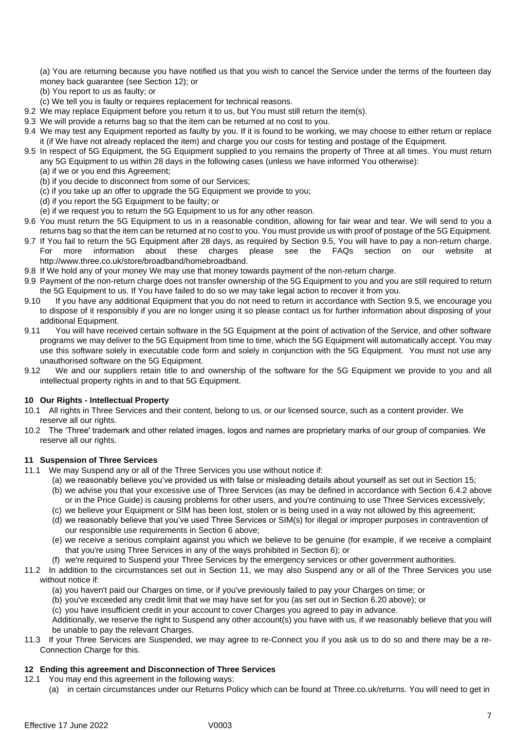(a) You are returning because you have notified us that you wish to cancel the Service under the terms of the fourteen day money back guarantee (see Section [12\)](#page-6-1); or

- (b) You report to us as faulty; or
- (c) We tell you is faulty or requires replacement for technical reasons.
- 9.2 We may replace Equipment before you return it to us, but You must still return the item(s).
- 9.3 We will provide a returns bag so that the item can be returned at no cost to you.
- 9.4 We may test any Equipment reported as faulty by you. If it is found to be working, we may choose to either return or replace it (if We have not already replaced the item) and charge you our costs for testing and postage of the Equipment.
- <span id="page-6-2"></span>9.5 In respect of 5G Equipment, the 5G Equipment supplied to you remains the property of Three at all times. You must return any 5G Equipment to us within 28 days in the following cases (unless we have informed You otherwise):
	- (a) if we or you end this Agreement;
	- (b) if you decide to disconnect from some of our Services;
	- (c) if you take up an offer to upgrade the 5G Equipment we provide to you;
	- (d) if you report the 5G Equipment to be faulty; or
	- (e) if we request you to return the 5G Equipment to us for any other reason.
- 9.6 You must return the 5G Equipment to us in a reasonable condition, allowing for fair wear and tear. We will send to you a returns bag so that the item can be returned at no cost to you. You must provide us with proof of postage of the 5G Equipment.
- <span id="page-6-0"></span>9.7 If You fail to return the 5G Equipment after 28 days, as required by Section [9.5,](#page-6-2) You will have to pay a non-return charge. For more information about these charges please see the FAQs section on our website at http://www.three.co.uk/store/broadband/homebroadband.
- 9.8 If We hold any of your money We may use that money towards payment of the non-return charge.
- 9.9 Payment of the non-return charge does not transfer ownership of the 5G Equipment to you and you are still required to return the 5G Equipment to us. If You have failed to do so we may take legal action to recover it from you.
- 9.10 If you have any additional Equipment that you do not need to return in accordance with Section [9.5,](#page-6-2) we encourage you to dispose of it responsibly if you are no longer using it so please contact us for further information about disposing of your additional Equipment.
- 9.11 You will have received certain software in the 5G Equipment at the point of activation of the Service, and other software programs we may deliver to the 5G Equipment from time to time, which the 5G Equipment will automatically accept. You may use this software solely in executable code form and solely in conjunction with the 5G Equipment. You must not use any unauthorised software on the 5G Equipment.
- 9.12 We and our suppliers retain title to and ownership of the software for the 5G Equipment we provide to you and all intellectual property rights in and to that 5G Equipment.

# **10 Our Rights - Intellectual Property**

- 10.1 All rights in Three Services and their content, belong to us, or our licensed source, such as a content provider. We reserve all our rights.
- 10.2 The 'Three' trademark and other related images, logos and names are proprietary marks of our group of companies. We reserve all our rights.

# <span id="page-6-3"></span>**11 Suspension of Three Services**

- 11.1 We may Suspend any or all of the Three Services you use without notice if:
	- (a) we reasonably believe you've provided us with false or misleading details about yourself as set out in Section 15; (b) we advise you that your excessive use of Three Services (as may be defined in accordance with Section [6.4.2](#page-4-0) above
		- or in the Price Guide) is causing problems for other users, and you're continuing to use Three Services excessively;
	- (c) we believe your Equipment or SIM has been lost, stolen or is being used in a way not allowed by this agreement;
	- (d) we reasonably believe that you've used Three Services or SIM(s) for illegal or improper purposes in contravention of our responsible use requirements in Section 6 above;
	- (e) we receive a serious complaint against you which we believe to be genuine (for example, if we receive a complaint that you're using Three Services in any of the ways prohibited in Section 6); or
	- (f) we're required to Suspend your Three Services by the emergency services or other government authorities.

11.2 In addition to the circumstances set out in Section [11,](#page-6-3) we may also Suspend any or all of the Three Services you use without notice if:

- (a) you haven't paid our Charges on time, or if you've previously failed to pay your Charges on time; or
- (b) you've exceeded any credit limit that we may have set for you (as set out in Section 6.20 above); or

(c) you have insufficient credit in your account to cover Charges you agreed to pay in advance.

Additionally, we reserve the right to Suspend any other account(s) you have with us, if we reasonably believe that you will be unable to pay the relevant Charges.

11.3 If your Three Services are Suspended, we may agree to re-Connect you if you ask us to do so and there may be a re-Connection Charge for this.

# <span id="page-6-1"></span>**12 Ending this agreement and Disconnection of Three Services**

- 12.1 You may end this agreement in the following ways:
	- (a) in certain circumstances under our Returns Policy which can be found at Three.co.uk/returns. You will need to get in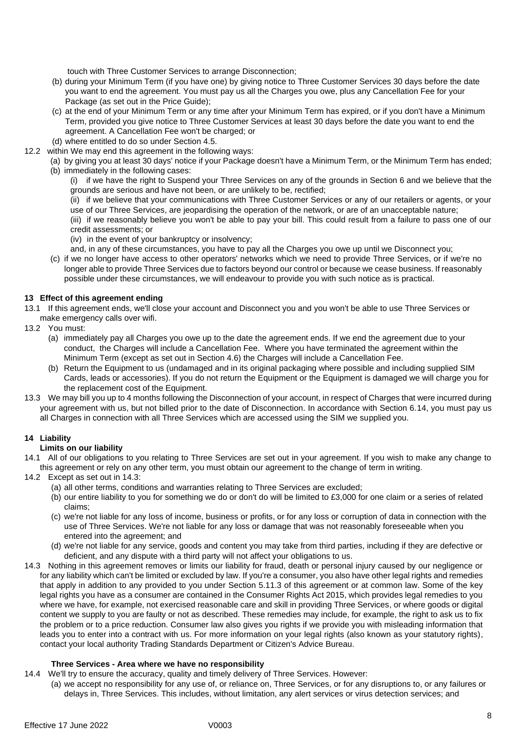touch with Three Customer Services to arrange Disconnection;

- (b) during your Minimum Term (if you have one) by giving notice to Three Customer Services 30 days before the date you want to end the agreement. You must pay us all the Charges you owe, plus any Cancellation Fee for your Package (as set out in the Price Guide);
- (c) at the end of your Minimum Term or any time after your Minimum Term has expired, or if you don't have a Minimum Term, provided you give notice to Three Customer Services at least 30 days before the date you want to end the agreement. A Cancellation Fee won't be charged; or
- (d) where entitled to do so under Section 4.5.
- 12.2 within We may end this agreement in the following ways:
	- (a) by giving you at least 30 days' notice if your Package doesn't have a Minimum Term, or the Minimum Term has ended; (b) immediately in the following cases:

(i) if we have the right to Suspend your Three Services on any of the grounds in Section 6 and we believe that the grounds are serious and have not been, or are unlikely to be, rectified;

(ii) if we believe that your communications with Three Customer Services or any of our retailers or agents, or your use of our Three Services, are jeopardising the operation of the network, or are of an unacceptable nature;

(iii) if we reasonably believe you won't be able to pay your bill. This could result from a failure to pass one of our credit assessments; or

(iv) in the event of your bankruptcy or insolvency;

and, in any of these circumstances, you have to pay all the Charges you owe up until we Disconnect you;

(c) if we no longer have access to other operators' networks which we need to provide Three Services, or if we're no longer able to provide Three Services due to factors beyond our control or because we cease business. If reasonably possible under these circumstances, we will endeavour to provide you with such notice as is practical.

# **13 Effect of this agreement ending**

13.1 If this agreement ends, we'll close your account and Disconnect you and you won't be able to use Three Services or make emergency calls over wifi.

- 13.2 You must:
	- (a) immediately pay all Charges you owe up to the date the agreement ends. If we end the agreement due to your conduct, the Charges will include a Cancellation Fee. Where you have terminated the agreement within the Minimum Term (except as set out in Section 4.6) the Charges will include a Cancellation Fee.
	- (b) Return the Equipment to us (undamaged and in its original packaging where possible and including supplied SIM Cards, leads or accessories). If you do not return the Equipment or the Equipment is damaged we will charge you for the replacement cost of the Equipment.
- 13.3 We may bill you up to 4 months following the Disconnection of your account, in respect of Charges that were incurred during your agreement with us, but not billed prior to the date of Disconnection. In accordance with Section 6.14, you must pay us all Charges in connection with all Three Services which are accessed using the SIM we supplied you.

# **14 Liability**

# **Limits on our liability**

- 14.1 All of our obligations to you relating to Three Services are set out in your agreement. If you wish to make any change to this agreement or rely on any other term, you must obtain our agreement to the change of term in writing.
- 14.2 Except as set out in 14.3:
	- (a) all other terms, conditions and warranties relating to Three Services are excluded;
	- (b) our entire liability to you for something we do or don't do will be limited to £3,000 for one claim or a series of related claims;
	- (c) we're not liable for any loss of income, business or profits, or for any loss or corruption of data in connection with the use of Three Services. We're not liable for any loss or damage that was not reasonably foreseeable when you entered into the agreement; and
	- (d) we're not liable for any service, goods and content you may take from third parties, including if they are defective or deficient, and any dispute with a third party will not affect your obligations to us.
- 14.3 Nothing in this agreement removes or limits our liability for fraud, death or personal injury caused by our negligence or for any liability which can't be limited or excluded by law. If you're a consumer, you also have other legal rights and remedies that apply in addition to any provided to you under Section 5.11.3 of this agreement or at common law. Some of the key legal rights you have as a consumer are contained in the Consumer Rights Act 2015, which provides legal remedies to you where we have, for example, not exercised reasonable care and skill in providing Three Services, or where goods or digital content we supply to you are faulty or not as described. These remedies may include, for example, the right to ask us to fix the problem or to a price reduction. Consumer law also gives you rights if we provide you with misleading information that leads you to enter into a contract with us. For more information on your legal rights (also known as your statutory rights), contact your local authority Trading Standards Department or Citizen's Advice Bureau.

# **Three Services - Area where we have no responsibility**

- 14.4 We'll try to ensure the accuracy, quality and timely delivery of Three Services. However:
	- (a) we accept no responsibility for any use of, or reliance on, Three Services, or for any disruptions to, or any failures or delays in, Three Services. This includes, without limitation, any alert services or virus detection services; and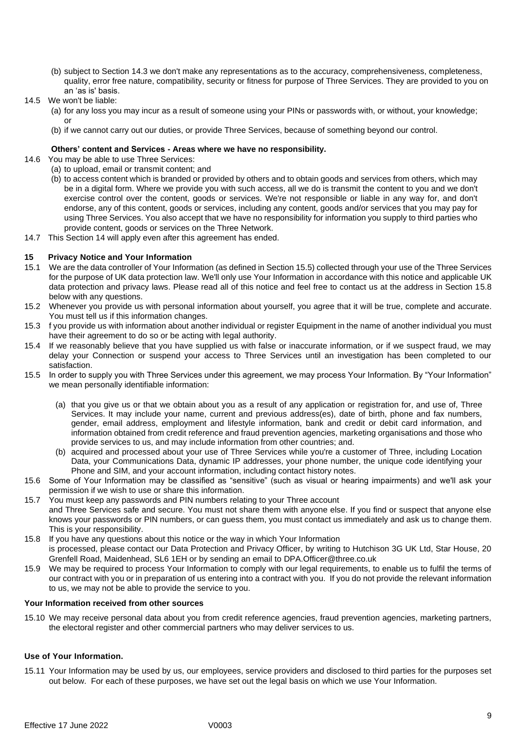- (b) subject to Section 14.3 we don't make any representations as to the accuracy, comprehensiveness, completeness, quality, error free nature, compatibility, security or fitness for purpose of Three Services. They are provided to you on an 'as is' basis.
- 14.5 We won't be liable:
	- (a) for any loss you may incur as a result of someone using your PINs or passwords with, or without, your knowledge; or
	- (b) if we cannot carry out our duties, or provide Three Services, because of something beyond our control.

# **Others' content and Services - Areas where we have no responsibility.**

- 14.6 You may be able to use Three Services:
	- (a) to upload, email or transmit content; and
	- (b) to access content which is branded or provided by others and to obtain goods and services from others, which may be in a digital form. Where we provide you with such access, all we do is transmit the content to you and we don't exercise control over the content, goods or services. We're not responsible or liable in any way for, and don't endorse, any of this content, goods or services, including any content, goods and/or services that you may pay for using Three Services. You also accept that we have no responsibility for information you supply to third parties who provide content, goods or services on the Three Network.
- 14.7 This Section 14 will apply even after this agreement has ended.

# **15 Privacy Notice and Your Information**

- 15.1 We are the data controller of Your Information (as defined in Section 15.5) collected through your use of the Three Services for the purpose of UK data protection law. We'll only use Your Information in accordance with this notice and applicable UK data protection and privacy laws. Please read all of this notice and feel free to contact us at the address in Section 15.8 below with any questions.
- 15.2 Whenever you provide us with personal information about yourself, you agree that it will be true, complete and accurate. You must tell us if this information changes.
- 15.3 f you provide us with information about another individual or register Equipment in the name of another individual you must have their agreement to do so or be acting with legal authority.
- 15.4 If we reasonably believe that you have supplied us with false or inaccurate information, or if we suspect fraud, we may delay your Connection or suspend your access to Three Services until an investigation has been completed to our satisfaction.
- 15.5 In order to supply you with Three Services under this agreement, we may process Your Information. By "Your Information" we mean personally identifiable information:
	- (a) that you give us or that we obtain about you as a result of any application or registration for, and use of, Three Services. It may include your name, current and previous address(es), date of birth, phone and fax numbers, gender, email address, employment and lifestyle information, bank and credit or debit card information, and information obtained from credit reference and fraud prevention agencies, marketing organisations and those who provide services to us, and may include information from other countries; and.
	- (b) acquired and processed about your use of Three Services while you're a customer of Three, including Location Data, your Communications Data, dynamic IP addresses, your phone number, the unique code identifying your Phone and SIM, and your account information, including contact history notes.
- 15.6 Some of Your Information may be classified as "sensitive" (such as visual or hearing impairments) and we'll ask your permission if we wish to use or share this information.
- 15.7 You must keep any passwords and PIN numbers relating to your Three account and Three Services safe and secure. You must not share them with anyone else. If you find or suspect that anyone else knows your passwords or PIN numbers, or can guess them, you must contact us immediately and ask us to change them. This is your responsibility.
- 15.8 If you have any questions about this notice or the way in which Your Information is processed, please contact our Data Protection and Privacy Officer, by writing to Hutchison 3G UK Ltd, Star House, 20 Grenfell Road, Maidenhead, SL6 1EH or by sending an email to [DPA.Officer@three.co.uk](mailto:DPA.Officer@three.co.uk)
- 15.9 We may be required to process Your Information to comply with our legal requirements, to enable us to fulfil the terms of our contract with you or in preparation of us entering into a contract with you. If you do not provide the relevant information to us, we may not be able to provide the service to you.

# **Your Information received from other sources**

15.10 We may receive personal data about you from credit reference agencies, fraud prevention agencies, marketing partners, the electoral register and other commercial partners who may deliver services to us.

# **Use of Your Information.**

15.11 Your Information may be used by us, our employees, service providers and disclosed to third parties for the purposes set out below. For each of these purposes, we have set out the legal basis on which we use Your Information.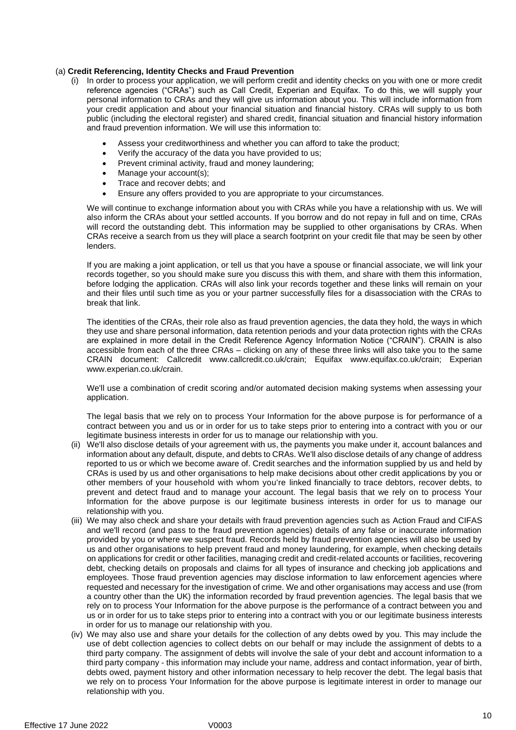# (a) **Credit Referencing, Identity Checks and Fraud Prevention**

- (i) In order to process your application, we will perform credit and identity checks on you with one or more credit reference agencies ("CRAs") such as Call Credit, Experian and Equifax. To do this, we will supply your personal information to CRAs and they will give us information about you. This will include information from your credit application and about your financial situation and financial history. CRAs will supply to us both public (including the electoral register) and shared credit, financial situation and financial history information and fraud prevention information. We will use this information to:
	- Assess your creditworthiness and whether you can afford to take the product;
	- Verify the accuracy of the data you have provided to us;
	- Prevent criminal activity, fraud and money laundering;
	- Manage your account(s);
	- Trace and recover debts; and
	- Ensure any offers provided to you are appropriate to your circumstances.

We will continue to exchange information about you with CRAs while you have a relationship with us. We will also inform the CRAs about your settled accounts. If you borrow and do not repay in full and on time, CRAs will record the outstanding debt. This information may be supplied to other organisations by CRAs. When CRAs receive a search from us they will place a search footprint on your credit file that may be seen by other lenders.

If you are making a joint application, or tell us that you have a spouse or financial associate, we will link your records together, so you should make sure you discuss this with them, and share with them this information, before lodging the application. CRAs will also link your records together and these links will remain on your and their files until such time as you or your partner successfully files for a disassociation with the CRAs to break that link.

The identities of the CRAs, their role also as fraud prevention agencies, the data they hold, the ways in which they use and share personal information, data retention periods and your data protection rights with the CRAs are explained in more detail in the Credit Reference Agency Information Notice ("CRAIN"). CRAIN is also accessible from each of the three CRAs – clicking on any of these three links will also take you to the same CRAIN document: Callcredit www.callcredit.co.uk/crain; Equifax www.equifax.co.uk/crain; Experian [www.experian.co.uk/crain.](http://www.experian.co.uk/crain)

We'll use a combination of credit scoring and/or automated decision making systems when assessing your application.

The legal basis that we rely on to process Your Information for the above purpose is for performance of a contract between you and us or in order for us to take steps prior to entering into a contract with you or our legitimate business interests in order for us to manage our relationship with you.

- (ii) We'll also disclose details of your agreement with us, the payments you make under it, account balances and information about any default, dispute, and debts to CRAs. We'll also disclose details of any change of address reported to us or which we become aware of. Credit searches and the information supplied by us and held by CRAs is used by us and other organisations to help make decisions about other credit applications by you or other members of your household with whom you're linked financially to trace debtors, recover debts, to prevent and detect fraud and to manage your account. The legal basis that we rely on to process Your Information for the above purpose is our legitimate business interests in order for us to manage our relationship with you.
- (iii) We may also check and share your details with fraud prevention agencies such as Action Fraud and CIFAS and we'll record (and pass to the fraud prevention agencies) details of any false or inaccurate information provided by you or where we suspect fraud. Records held by fraud prevention agencies will also be used by us and other organisations to help prevent fraud and money laundering, for example, when checking details on applications for credit or other facilities, managing credit and credit-related accounts or facilities, recovering debt, checking details on proposals and claims for all types of insurance and checking job applications and employees. Those fraud prevention agencies may disclose information to law enforcement agencies where requested and necessary for the investigation of crime. We and other organisations may access and use (from a country other than the UK) the information recorded by fraud prevention agencies. The legal basis that we rely on to process Your Information for the above purpose is the performance of a contract between you and us or in order for us to take steps prior to entering into a contract with you or our legitimate business interests in order for us to manage our relationship with you.
- (iv) We may also use and share your details for the collection of any debts owed by you. This may include the use of debt collection agencies to collect debts on our behalf or may include the assignment of debts to a third party company. The assignment of debts will involve the sale of your debt and account information to a third party company - this information may include your name, address and contact information, year of birth, debts owed, payment history and other information necessary to help recover the debt. The legal basis that we rely on to process Your Information for the above purpose is legitimate interest in order to manage our relationship with you.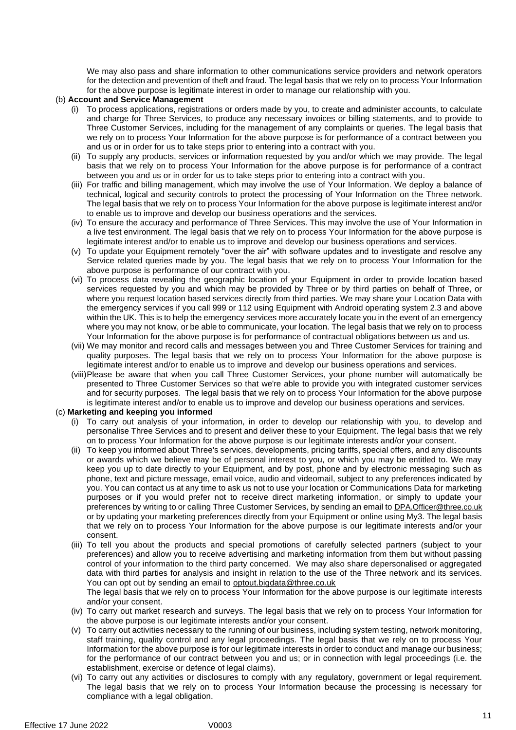We may also pass and share information to other communications service providers and network operators for the detection and prevention of theft and fraud. The legal basis that we rely on to process Your Information for the above purpose is legitimate interest in order to manage our relationship with you.

# (b) **Account and Service Management**

- (i) To process applications, registrations or orders made by you, to create and administer accounts, to calculate and charge for Three Services, to produce any necessary invoices or billing statements, and to provide to Three Customer Services, including for the management of any complaints or queries. The legal basis that we rely on to process Your Information for the above purpose is for performance of a contract between you and us or in order for us to take steps prior to entering into a contract with you.
- (ii) To supply any products, services or information requested by you and/or which we may provide. The legal basis that we rely on to process Your Information for the above purpose is for performance of a contract between you and us or in order for us to take steps prior to entering into a contract with you.
- (iii) For traffic and billing management, which may involve the use of Your Information. We deploy a balance of technical, logical and security controls to protect the processing of Your Information on the Three network. The legal basis that we rely on to process Your Information for the above purpose is legitimate interest and/or to enable us to improve and develop our business operations and the services.
- (iv) To ensure the accuracy and performance of Three Services. This may involve the use of Your Information in a live test environment. The legal basis that we rely on to process Your Information for the above purpose is legitimate interest and/or to enable us to improve and develop our business operations and services.
- (v) To update your Equipment remotely "over the air" with software updates and to investigate and resolve any Service related queries made by you. The legal basis that we rely on to process Your Information for the above purpose is performance of our contract with you.
- (vi) To process data revealing the geographic location of your Equipment in order to provide location based services requested by you and which may be provided by Three or by third parties on behalf of Three, or where you request location based services directly from third parties. We may share your Location Data with the emergency services if you call 999 or 112 using Equipment with Android operating system 2.3 and above within the UK. This is to help the emergency services more accurately locate you in the event of an emergency where you may not know, or be able to communicate, your location. The legal basis that we rely on to process Your Information for the above purpose is for performance of contractual obligations between us and us.
- (vii) We may monitor and record calls and messages between you and Three Customer Services for training and quality purposes. The legal basis that we rely on to process Your Information for the above purpose is legitimate interest and/or to enable us to improve and develop our business operations and services.
- (viii)Please be aware that when you call Three Customer Services, your phone number will automatically be presented to Three Customer Services so that we're able to provide you with integrated customer services and for security purposes. The legal basis that we rely on to process Your Information for the above purpose is legitimate interest and/or to enable us to improve and develop our business operations and services.

# (c) **Marketing and keeping you informed**

- (i) To carry out analysis of your information, in order to develop our relationship with you, to develop and personalise Three Services and to present and deliver these to your Equipment. The legal basis that we rely on to process Your Information for the above purpose is our legitimate interests and/or your consent.
- (ii) To keep you informed about Three's services, developments, pricing tariffs, special offers, and any discounts or awards which we believe may be of personal interest to you, or which you may be entitled to. We may keep you up to date directly to your Equipment, and by post, phone and by electronic messaging such as phone, text and picture message, email voice, audio and videomail, subject to any preferences indicated by you. You can contact us at any time to ask us not to use your location or Communications Data for marketing purposes or if you would prefer not to receive direct marketing information, or simply to update your preferences by writing to or calling Three Customer Services, by sending an email to DPA. Officer@three.co.uk or by updating your marketing preferences directly from your Equipment or online using My3. The legal basis that we rely on to process Your Information for the above purpose is our legitimate interests and/or your consent.
- (iii) To tell you about the products and special promotions of carefully selected partners (subject to your preferences) and allow you to receive advertising and marketing information from them but without passing control of your information to the third party concerned. We may also share depersonalised or aggregated data with third parties for analysis and insight in relation to the use of the Three network and its services. You can opt out by sending an email to [optout.bigdata@three.co.uk](mailto:optout.bigdata@three.co.uk)

The legal basis that we rely on to process Your Information for the above purpose is our legitimate interests and/or your consent.

- (iv) To carry out market research and surveys. The legal basis that we rely on to process Your Information for the above purpose is our legitimate interests and/or your consent.
- (v) To carry out activities necessary to the running of our business, including system testing, network monitoring, staff training, quality control and any legal proceedings. The legal basis that we rely on to process Your Information for the above purpose is for our legitimate interests in order to conduct and manage our business; for the performance of our contract between you and us; or in connection with legal proceedings (i.e. the establishment, exercise or defence of legal claims).
- (vi) To carry out any activities or disclosures to comply with any regulatory, government or legal requirement. The legal basis that we rely on to process Your Information because the processing is necessary for compliance with a legal obligation.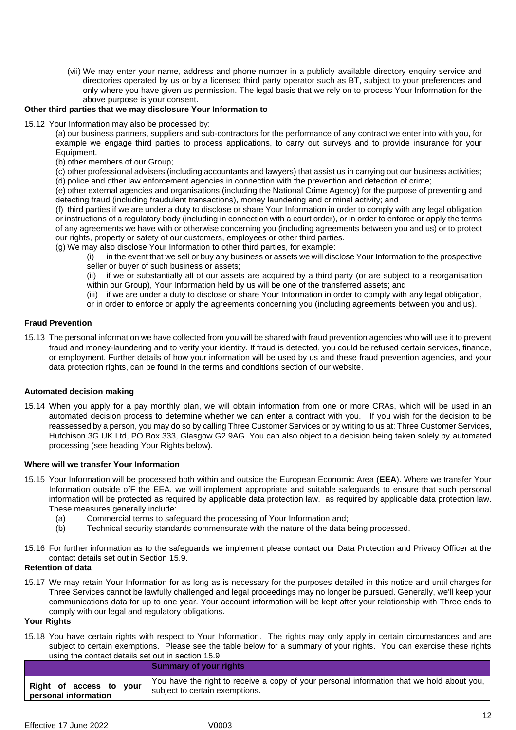(vii) We may enter your name, address and phone number in a publicly available directory enquiry service and directories operated by us or by a licensed third party operator such as BT, subject to your preferences and only where you have given us permission. The legal basis that we rely on to process Your Information for the above purpose is your consent.

# **Other third parties that we may disclosure Your Information to**

15.12 Your Information may also be processed by:

(a) our business partners, suppliers and sub-contractors for the performance of any contract we enter into with you, for example we engage third parties to process applications, to carry out surveys and to provide insurance for your Equipment.

(b) other members of our Group;

(c) other professional advisers (including accountants and lawyers) that assist us in carrying out our business activities; (d) police and other law enforcement agencies in connection with the prevention and detection of crime;

(e) other external agencies and organisations (including the National Crime Agency) for the purpose of preventing and detecting fraud (including fraudulent transactions), money laundering and criminal activity; and

(f) third parties if we are under a duty to disclose or share Your Information in order to comply with any legal obligation or instructions of a regulatory body (including in connection with a court order), or in order to enforce or apply the terms of any agreements we have with or otherwise concerning you (including agreements between you and us) or to protect our rights, property or safety of our customers, employees or other third parties.

(g) We may also disclose Your Information to other third parties, for example:

(i) in the event that we sell or buy any business or assets we will disclose Your Information to the prospective seller or buyer of such business or assets;

(ii) if we or substantially all of our assets are acquired by a third party (or are subject to a reorganisation within our Group), Your Information held by us will be one of the transferred assets; and

(iii) if we are under a duty to disclose or share Your Information in order to comply with any legal obligation,

or in order to enforce or apply the agreements concerning you (including agreements between you and us).

# **Fraud Prevention**

15.13 The personal information we have collected from you will be shared with fraud prevention agencies who will use it to prevent fraud and money-laundering and to verify your identity. If fraud is detected, you could be refused certain services, finance, or employment. Further details of how your information will be used by us and these fraud prevention agencies, and your data protection rights, can be found in the [terms and conditions section of our website.](http://www.three.co.uk/terms-conditions/cifas-data-use-policy)

# **Automated decision making**

15.14 When you apply for a pay monthly plan, we will obtain information from one or more CRAs, which will be used in an automated decision process to determine whether we can enter a contract with you. If you wish for the decision to be reassessed by a person, you may do so by calling Three Customer Services or by writing to us at: Three Customer Services, Hutchison 3G UK Ltd, PO Box 333, Glasgow G2 9AG. You can also object to a decision being taken solely by automated processing (see heading Your Rights below).

# **Where will we transfer Your Information**

- 15.15 Your Information will be processed both within and outside the European Economic Area (**EEA**). Where we transfer Your Information outside ofF the EEA, we will implement appropriate and suitable safeguards to ensure that such personal information will be protected as required by applicable data protection law. as required by applicable data protection law. These measures generally include:
	- (a) Commercial terms to safeguard the processing of Your Information and;
	- (b) Technical security standards commensurate with the nature of the data being processed.
- 15.16 For further information as to the safeguards we implement please contact our Data Protection and Privacy Officer at the contact details set out in Section 15.9.

# **Retention of data**

15.17 We may retain Your Information for as long as is necessary for the purposes detailed in this notice and until charges for Three Services cannot be lawfully challenged and legal proceedings may no longer be pursued. Generally, we'll keep your communications data for up to one year. Your account information will be kept after your relationship with Three ends to comply with our legal and regulatory obligations.

#### **Your Rights**

15.18 You have certain rights with respect to Your Information. The rights may only apply in certain circumstances and are subject to certain exemptions. Please see the table below for a summary of your rights. You can exercise these rights using the contact details set out in section 15.9.

|                         | <b>Summary of your rights</b>                                                             |
|-------------------------|-------------------------------------------------------------------------------------------|
| Right of access to your | You have the right to receive a copy of your personal information that we hold about you, |
| personal information    | subject to certain exemptions.                                                            |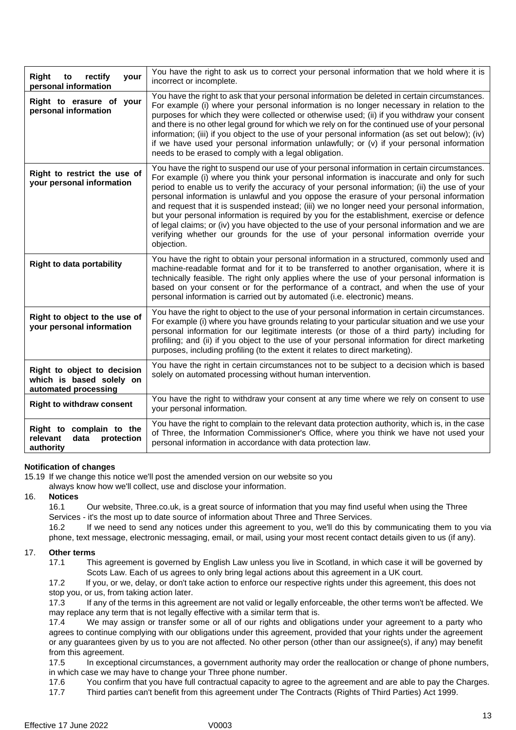| <b>Right</b><br>rectify<br>to<br>your<br>personal information                   | You have the right to ask us to correct your personal information that we hold where it is<br>incorrect or incomplete.                                                                                                                                                                                                                                                                                                                                                                                                                                                                                                                                                                                                                                                                       |
|---------------------------------------------------------------------------------|----------------------------------------------------------------------------------------------------------------------------------------------------------------------------------------------------------------------------------------------------------------------------------------------------------------------------------------------------------------------------------------------------------------------------------------------------------------------------------------------------------------------------------------------------------------------------------------------------------------------------------------------------------------------------------------------------------------------------------------------------------------------------------------------|
| Right to erasure of your<br>personal information                                | You have the right to ask that your personal information be deleted in certain circumstances.<br>For example (i) where your personal information is no longer necessary in relation to the<br>purposes for which they were collected or otherwise used; (ii) if you withdraw your consent<br>and there is no other legal ground for which we rely on for the continued use of your personal<br>information; (iii) if you object to the use of your personal information (as set out below); (iv)<br>if we have used your personal information unlawfully; or $(v)$ if your personal information<br>needs to be erased to comply with a legal obligation.                                                                                                                                     |
| Right to restrict the use of<br>your personal information                       | You have the right to suspend our use of your personal information in certain circumstances.<br>For example (i) where you think your personal information is inaccurate and only for such<br>period to enable us to verify the accuracy of your personal information; (ii) the use of your<br>personal information is unlawful and you oppose the erasure of your personal information<br>and request that it is suspended instead; (iii) we no longer need your personal information,<br>but your personal information is required by you for the establishment, exercise or defence<br>of legal claims; or (iv) you have objected to the use of your personal information and we are<br>verifying whether our grounds for the use of your personal information override your<br>objection. |
| <b>Right to data portability</b>                                                | You have the right to obtain your personal information in a structured, commonly used and<br>machine-readable format and for it to be transferred to another organisation, where it is<br>technically feasible. The right only applies where the use of your personal information is<br>based on your consent or for the performance of a contract, and when the use of your<br>personal information is carried out by automated (i.e. electronic) means.                                                                                                                                                                                                                                                                                                                                    |
| Right to object to the use of<br>your personal information                      | You have the right to object to the use of your personal information in certain circumstances.<br>For example (i) where you have grounds relating to your particular situation and we use your<br>personal information for our legitimate interests (or those of a third party) including for<br>profiling; and (ii) if you object to the use of your personal information for direct marketing<br>purposes, including profiling (to the extent it relates to direct marketing).                                                                                                                                                                                                                                                                                                             |
| Right to object to decision<br>which is based solely on<br>automated processing | You have the right in certain circumstances not to be subject to a decision which is based<br>solely on automated processing without human intervention.                                                                                                                                                                                                                                                                                                                                                                                                                                                                                                                                                                                                                                     |
| <b>Right to withdraw consent</b>                                                | You have the right to withdraw your consent at any time where we rely on consent to use<br>your personal information.                                                                                                                                                                                                                                                                                                                                                                                                                                                                                                                                                                                                                                                                        |
| Right to complain to the<br>protection<br>relevant<br>data<br>authority         | You have the right to complain to the relevant data protection authority, which is, in the case<br>of Three, the Information Commissioner's Office, where you think we have not used your<br>personal information in accordance with data protection law.                                                                                                                                                                                                                                                                                                                                                                                                                                                                                                                                    |

# **Notification of changes**

15.19 If we change this notice we'll post the amended version on our website so you

always know how we'll collect, use and disclose your information.

# 16. **Notices**

16.1 Our website, Three.co.uk, is a great source of information that you may find useful when using the Three Services - it's the most up to date source of information about Three and Three Services.

16.2 If we need to send any notices under this agreement to you, we'll do this by communicating them to you via phone, text message, electronic messaging, email, or mail, using your most recent contact details given to us (if any).

# 17. **Other terms**

17.1 This agreement is governed by English Law unless you live in Scotland, in which case it will be governed by Scots Law. Each of us agrees to only bring legal actions about this agreement in a UK court.

17.2 If you, or we, delay, or don't take action to enforce our respective rights under this agreement, this does not stop you, or us, from taking action later.

17.3 If any of the terms in this agreement are not valid or legally enforceable, the other terms won't be affected. We may replace any term that is not legally effective with a similar term that is.

17.4 We may assign or transfer some or all of our rights and obligations under your agreement to a party who agrees to continue complying with our obligations under this agreement, provided that your rights under the agreement or any guarantees given by us to you are not affected. No other person (other than our assignee(s), if any) may benefit from this agreement.

17.5 In exceptional circumstances, a government authority may order the reallocation or change of phone numbers, in which case we may have to change your Three phone number.

17.6 You confirm that you have full contractual capacity to agree to the agreement and are able to pay the Charges.

17.7 Third parties can't benefit from this agreement under The Contracts (Rights of Third Parties) Act 1999.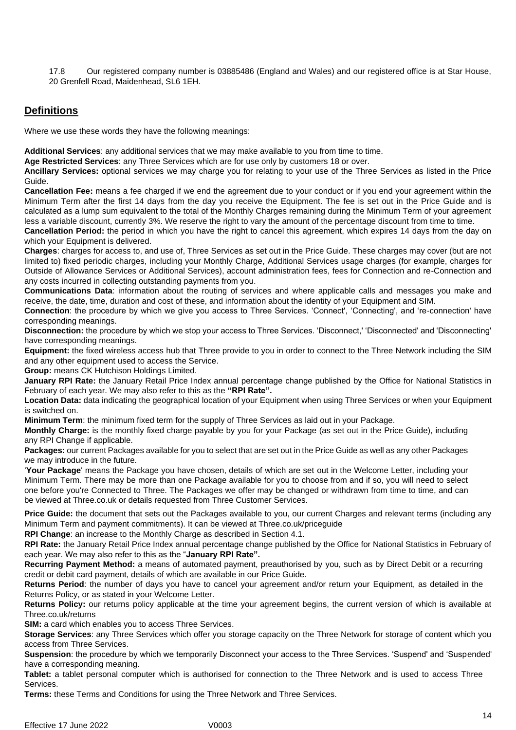17.8 Our registered company number is 03885486 (England and Wales) and our registered office is at Star House, 20 Grenfell Road, Maidenhead, SL6 1EH.

# **Definitions**

Where we use these words they have the following meanings:

**Additional Services**: any additional services that we may make available to you from time to time.

**Age Restricted Services**: any Three Services which are for use only by customers 18 or over.

**Ancillary Services:** optional services we may charge you for relating to your use of the Three Services as listed in the Price Guide.

**Cancellation Fee:** means a fee charged if we end the agreement due to your conduct or if you end your agreement within the Minimum Term after the first 14 days from the day you receive the Equipment. The fee is set out in the Price Guide and is calculated as a lump sum equivalent to the total of the Monthly Charges remaining during the Minimum Term of your agreement less a variable discount, currently 3%. We reserve the right to vary the amount of the percentage discount from time to time.

**Cancellation Period:** the period in which you have the right to cancel this agreement, which expires 14 days from the day on which your Equipment is delivered.

**Charges**: charges for access to, and use of, Three Services as set out in the Price Guide. These charges may cover (but are not limited to) fixed periodic charges, including your Monthly Charge, Additional Services usage charges (for example, charges for Outside of Allowance Services or Additional Services), account administration fees, fees for Connection and re-Connection and any costs incurred in collecting outstanding payments from you.

**Communications Data**: information about the routing of services and where applicable calls and messages you make and receive, the date, time, duration and cost of these, and information about the identity of your Equipment and SIM.

**Connection**: the procedure by which we give you access to Three Services. 'Connect', 'Connecting', and 're-connection' have corresponding meanings.

**Disconnection:** the procedure by which we stop your access to Three Services. 'Disconnect,' 'Disconnected' and 'Disconnecting' have corresponding meanings.

**Equipment:** the fixed wireless access hub that Three provide to you in order to connect to the Three Network including the SIM and any other equipment used to access the Service.

**Group:** means CK Hutchison Holdings Limited.

**January RPI Rate:** the January Retail Price Index annual percentage change published by the Office for National Statistics in February of each year. We may also refer to this as the **"RPI Rate".**

**Location Data:** data indicating the geographical location of your Equipment when using Three Services or when your Equipment is switched on.

**Minimum Term**: the minimum fixed term for the supply of Three Services as laid out in your Package.

**Monthly Charge:** is the monthly fixed charge payable by you for your Package (as set out in the Price Guide), including any RPI Change if applicable.

**Packages:** our current Packages available for you to select that are set out in the Price Guide as well as any other Packages we may introduce in the future.

'**Your Package**' means the Package you have chosen, details of which are set out in the Welcome Letter, including your Minimum Term. There may be more than one Package available for you to choose from and if so, you will need to select one before you're Connected to Three. The Packages we offer may be changed or withdrawn from time to time, and can be viewed at Three.co.uk or details requested from Three Customer Services.

**Price Guide:** the document that sets out the Packages available to you, our current Charges and relevant terms (including any Minimum Term and payment commitments). It can be viewed at Three.co.uk/priceguide

**RPI Change**: an increase to the Monthly Charge as described in Section 4.1.

**RPI Rate:** the January Retail Price Index annual percentage change published by the Office for National Statistics in February of each year. We may also refer to this as the "**January RPI Rate".**

**Recurring Payment Method:** a means of automated payment, preauthorised by you, such as by Direct Debit or a recurring credit or debit card payment, details of which are available in our Price Guide.

**Returns Period**: the number of days you have to cancel your agreement and/or return your Equipment, as detailed in the Returns Policy, or as stated in your Welcome Letter.

**Returns Policy:** our returns policy applicable at the time your agreement begins, the current version of which is available at Three.co.uk/returns

**SIM:** a card which enables you to access Three Services.

**Storage Services**: any Three Services which offer you storage capacity on the Three Network for storage of content which you access from Three Services.

**Suspension**: the procedure by which we temporarily Disconnect your access to the Three Services. 'Suspend' and 'Suspended' have a corresponding meaning.

**Tablet:** a tablet personal computer which is authorised for connection to the Three Network and is used to access Three Services.

**Terms:** these Terms and Conditions for using the Three Network and Three Services.